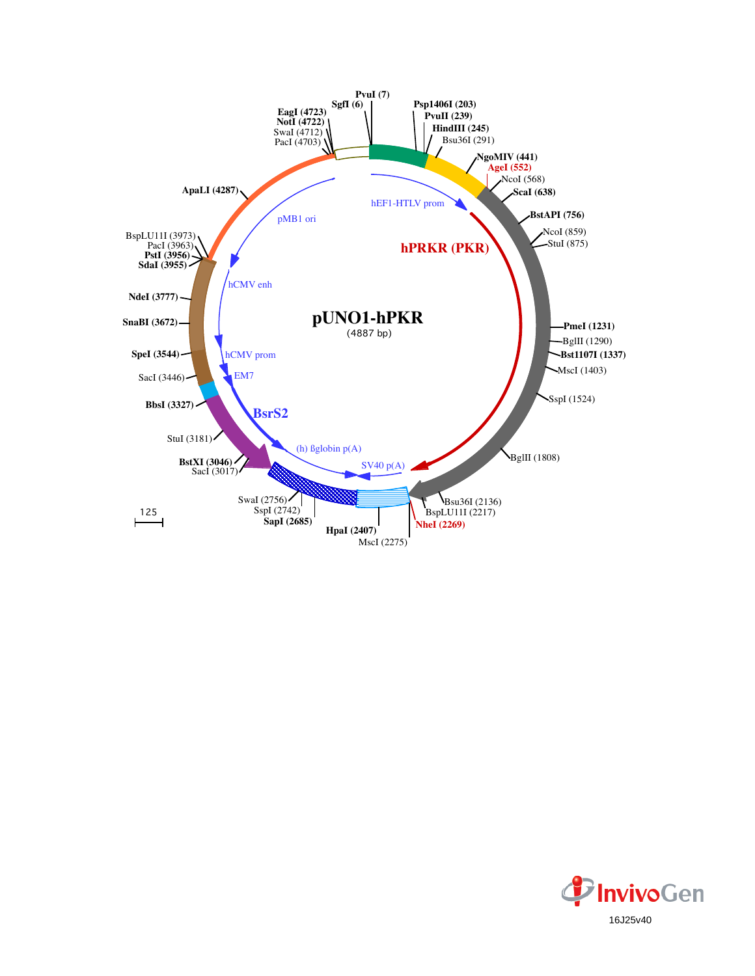

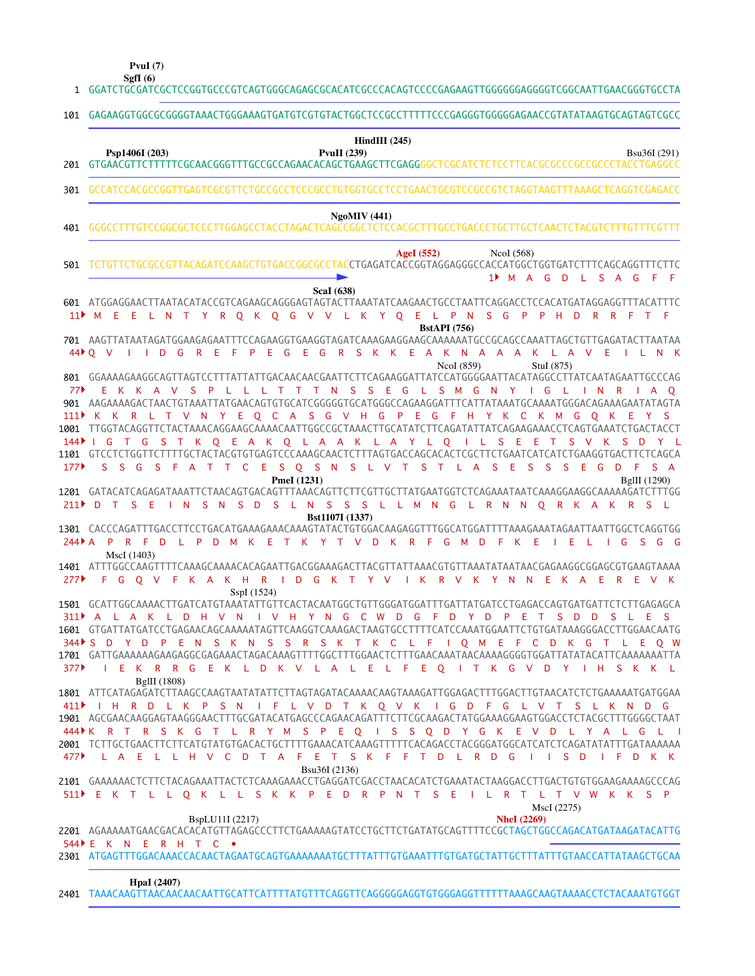**PvuI (7)**

GGATCTGCGATCGCTCCGGTGCCCGTCAGTGGGCAGAGCGCACATCGCCCACAGTCCCCGAGAAGTTGGGGGGAGGGGTCGGCAATTGAACGGGTGCCTA 1 GAGAAGGTGGCGCGGGGTAAACTGGGAAAGTGATGTCGTGTACTGGCTCCGCCTTTTTCCCGAGGGTGGGGGAGAACCGTATATAAGTGCAGTAGTCGCC 101 GTGAACGTTCTTTTTCGCAACGGGTTTGCCGCCAGAACACAGCTGAAGCTTCGAGGGGCTCGCATCTCTCCTTCACGCGCCCGCCGCCCTACCTGAGGCC 201 GCCATCCACGCCGGTTGAGTCGCGTTCTGCCGCCTCCCGCCTGTGGTGCCTCCTGAACTGCGTCCGCCGTCTAGGTAAGTTTAAAGCTCAGGTCGAGACC GGGCCTTTGTCCGGCGCTCCCTTGGAGCCTACCTAGACTCAGCCGGCTCTCCACGCTTTGCCTGACCCTGCTTGCTCAACTCTACGTCTTTGTTTCGTTT TCTGTTCTGCGCCGTTACAGATCCAAGCTGTGACCGGCGCCTACCTGAGATCACCGGTAGGAGGGCCACCATGGCTGGTGATCTTTCAGCAGGTTTCTTC ATGGAGGAACTTAATACATACCGTCAGAAGCAGGGAGTAGTACTTAAATATCAAGAACTGCCTAATTCAGGACCTCCACATGATAGGAGGTTTACATTTC 601 AAGTTATAATAGATGGAAGAGAATTTCCAGAAGGTGAAGGTAGATCAAAGAAGGAAGCAAAAAATGCCGCAGCCAAATTAGCTGTTGAGATACTTAATAA 701 GGAAAAGAAGGCAGTTAGTCCTTTATTATTGACAACAACGAATTCTTCAGAAGGATTATCCATGGGGAATTACATAGGCCTTATCAATAGAATTGCCCAG 801 AAGAAAAGACTAACTGTAAATTATGAACAGTGTGCATCGGGGGTGCATGGGCCAGAAGGATTTCATTATAAATGCAAAATGGGACAGAAAGAATATAGTA 901 TTGGTACAGGTTCTACTAAACAGGAAGCAAAACAATTGGCCGCTAAACTTGCATATCTTCAGATATTATCAGAAGAAACCTCAGTGAAATCTGACTACCT 1001 1101 GTCCTCTGGTTCTTTTGCTACTACGTGTGAGTCCCAAAGCAACTCTTTAGTGACCAGCACACTCGCTTCTGAATCATCATCTGAAGGTGACTTCTCAGCA GATACATCAGAGATAAATTCTAACAGTGACAGTTTAAACAGTTCTTCGTTGCTTATGAATGGTCTCAGAAATAATCAAAGGAAGGCAAAAAGATCTTTGG 1201 CACCCAGATTTGACCTTCCTGACATGAAAGAAACAAAGTATACTGTGGACAAGAGGTTTGGCATGGATTTTAAAGAAATAGAATTAATTGGCTCAGGTGG 1301 ATTTGGCCAAGTTTTCAAAGCAAAACACAGAATTGACGGAAAGACTTACGTTATTAAACGTGTTAAATATAATAACGAGAAGGCGGAGCGTGAAGTAAAA 1401 GCATTGGCAAAACTTGATCATGTAAATATTGTTCACTACAATGGCTGTTGGGATGGATTTGATTATGATCCTGAGACCAGTGATGATTCTCTTGAGAGCA 1501 1601 GTGATTATGATCCTGAGAACAGCAAAAATAGTTCAAGGTCAAAGACTAAGTGCCTTTTCATCCAAATGGAATTCTGTGATAAAGGGACCTTGGAACAATG GATTGAAAAAAGAAGAGGCGAGAAACTAGACAAAGTTTTGGCTTTGGAACTCTTTGAACAAATAACAAAAGGGGTGGATTATATACATTCAAAAAAATTA 1701 ATTCATAGAGATCTTAAGCCAAGTAATATATTCTTAGTAGATACAAAACAAGTAAAGATTGGAGACTTTGGACTTGTAACATCTCTGAAAAATGATGGAA 1801 AGCGAACAAGGAGTAAGGGAACTTTGCGATACATGAGCCCAGAACAGATTTCTTCGCAAGACTATGGAAAGGAAGTGGACCTCTACGCTTTGGGGCTAAT 1901 TCTTGCTGAACTTCTTCATGTATGTGACACTGCTTTTGAAACATCAAAGTTTTTCACAGACCTACGGGATGGCATCATCTCAGATATATTTGATAAAAAA 2001 2101 GAAAAAACTCTTCTACAGAAATTACTCTCAAAGAAACCTGAGGATCGACCTAACACATCTGAAATACTAAGGACCTTGACTGTGTGGAAGAAAAGCCCAG 2201 AGAAAAATGAACGACACACATGTTAGAGCCCTTCTGAAAAAGTATCCTGCTTCTGATATGCAGTTTTCCGCTAGCTGGCCAGACATGATAAGATACATTG 2301 ATGAGTTTGGACAAACCACAACTAGAATGCAGTGAAAAAAATGCTTTATTTGTGAAATTTGTGATGCTATTGCTTTATTTGTAACCATTATAAGCTGCAA TAAACAAGTTAACAACAACAATTGCATTCATTTTATGTTTCAGGTTCAGGGGGAGGTGTGGGAGGTTTTTTAAAGCAAGTAAAACCTCTACAAATGTGGT 2401 M A G D L S A G F F 1 M E E L N T Y R Q K Q G V V L K Y Q E L P N S G P P H D R R F T F 11 Q V I I D G R E F P E G E G R S K K E A K N A A A K L A V E I L N K 44 E K K A V S P L L L T T T N S S E G L S M G N Y I G L I N R I A Q K K R L T V N Y E Q C A S G V H G P E G F H Y K C K M G Q K E Y S 111 I G T G S T K Q E A K Q L A A K L A Y L Q I L S E E T S V K S D Y L S S G S F A T T C E S Q S N S L V T S T L A S E S S S E G D F S A 177 D T S E I N S N S D S L N S S S L L M N G L R N N Q R K A K R S L 211 244 PR F D L P D M K E T K Y T V D K R F G M D F K E I E L I G S G G F G Q V F K A K H R I D G K T Y V I K R V K Y N N E K A E R E V K 311 PA L A K L D H V N I V H Y N G C W D G F D Y D P E T S D D S L E S S D Y D P E N S K N S S R S K T K C L F I Q M E F C D K G T L E Q W 344 I E K R R G E K L D K V L A L E L F E Q I T K G V D Y I H S K K L 411 NH R D L K P S N I F L V D T K Q V K I G D F G L V T S L K N D G K R T R S K G T L R Y M S P E Q I S S Q D Y G K E V D L Y A L G L I 444 L A E L L H V C D T A F E T S K F F T D L R D G I I S D I F D K K 477 E K T L L Q K L L S K K P E D R P N T S E I L R T L T V W K K S P 511 E K N E R H T C • 544**SgfI (6) Psp1406I (203) PvuII (239) HindIII (245)** Bsu36I (291) **NgoMIV (441) AgeI (552)** NcoI (568) **ScaI (638) BstAPI (756)** NcoI (859) StuI (875) **PmeI** (1231) BgIII (1290) **Bst1107I (1337)** MscI (1403) SspI (1524) BglII (1808) Bsu36I (2136) BspLU11I (2217) **NheI (2269)** MscI (2275) **HpaI (2407)** 301 401 501 77 144 277 377